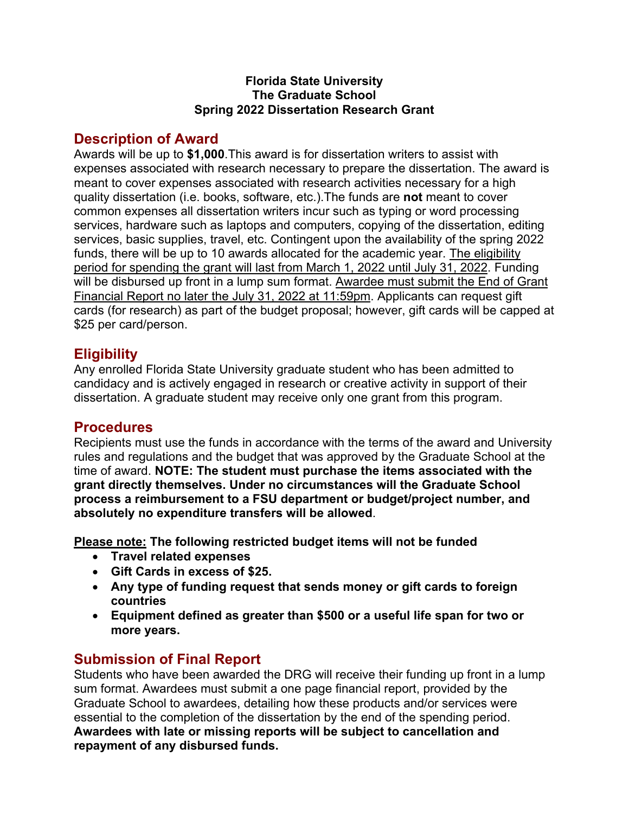#### **Florida State University The Graduate School Spring 2022 Dissertation Research Grant**

## **Description of Award**

Awards will be up to **\$1,000**.This award is for dissertation writers to assist with expenses associated with research necessary to prepare the dissertation. The award is meant to cover expenses associated with research activities necessary for a high quality dissertation (i.e. books, software, etc.).The funds are **not** meant to cover common expenses all dissertation writers incur such as typing or word processing services, hardware such as laptops and computers, copying of the dissertation, editing services, basic supplies, travel, etc. Contingent upon the availability of the spring 2022 funds, there will be up to 10 awards allocated for the academic year. The eligibility period for spending the grant will last from March 1, 2022 until July 31, 2022. Funding will be disbursed up front in a lump sum format. Awardee must submit the End of Grant Financial Report no later the July 31, 2022 at 11:59pm. Applicants can request gift cards (for research) as part of the budget proposal; however, gift cards will be capped at \$25 per card/person.

### **Eligibility**

Any enrolled Florida State University graduate student who has been admitted to candidacy and is actively engaged in research or creative activity in support of their dissertation. A graduate student may receive only one grant from this program.

#### **Procedures**

Recipients must use the funds in accordance with the terms of the award and University rules and regulations and the budget that was approved by the Graduate School at the time of award. **NOTE: The student must purchase the items associated with the grant directly themselves. Under no circumstances will the Graduate School process a reimbursement to a FSU department or budget/project number, and absolutely no expenditure transfers will be allowed**.

**Please note: The following restricted budget items will not be funded**

- **Travel related expenses**
- **Gift Cards in excess of \$25.**
- **Any type of funding request that sends money or gift cards to foreign countries**
- **Equipment defined as greater than \$500 or a useful life span for two or more years.**

# **Submission of Final Report**

Students who have been awarded the DRG will receive their funding up front in a lump sum format. Awardees must submit a one page financial report, provided by the Graduate School to awardees, detailing how these products and/or services were essential to the completion of the dissertation by the end of the spending period. **Awardees with late or missing reports will be subject to cancellation and repayment of any disbursed funds.**